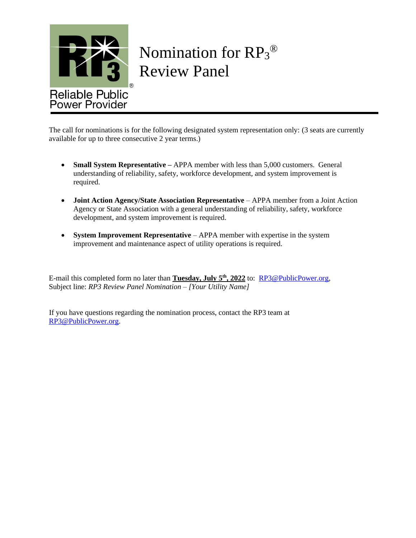

## Nomination for RP<sub>3</sub><sup>®</sup> Review Panel

The call for nominations is for the following designated system representation only: (3 seats are currently available for up to three consecutive 2 year terms.)

- **Small System Representative** APPA member with less than 5,000 customers. General understanding of reliability, safety, workforce development, and system improvement is required.
- **Joint Action Agency/State Association Representative** APPA member from a Joint Action Agency or State Association with a general understanding of reliability, safety, workforce development, and system improvement is required.
- **System Improvement Representative** APPA member with expertise in the system improvement and maintenance aspect of utility operations is required.

E-mail this completed form no later than **Tuesday, July 5th, 2022** to: [RP3@PublicPower.org,](mailto:RP3@PublicPower.org) Subject line: *RP3 Review Panel Nomination – [Your Utility Name]*

If you have questions regarding the nomination process, contact the RP3 team at [RP3@PublicPower.org.](mailto:RP3@PublicPower.org)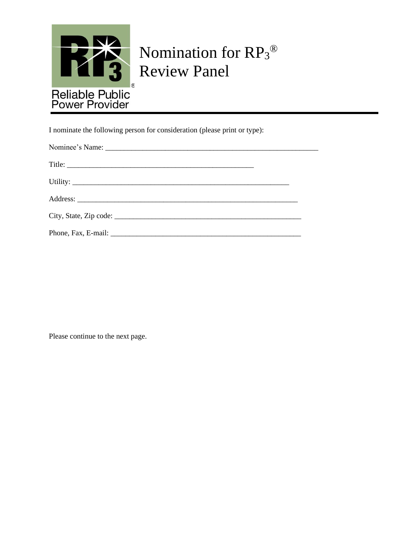

## Nomination for RP<sub>3</sub><sup>®</sup> Nomination rd

I nominate the following person for consideration (please print or type):

Please continue to the next page.